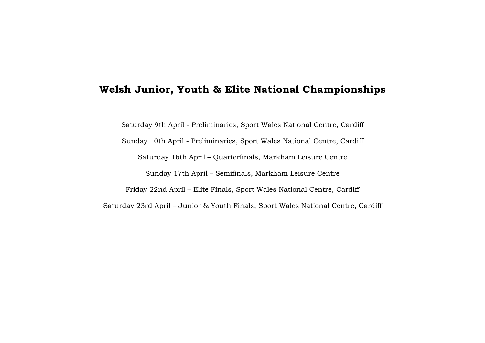## **Welsh Junior, Youth & Elite National Championships**

Saturday 9th April - Preliminaries, Sport Wales National Centre, Cardiff Sunday 10th April - Preliminaries, Sport Wales National Centre, Cardiff Saturday 16th April – Quarterfinals, Markham Leisure Centre Sunday 17th April – Semifinals, Markham Leisure Centre Friday 22nd April – Elite Finals, Sport Wales National Centre, Cardiff Saturday 23rd April – Junior & Youth Finals, Sport Wales National Centre, Cardiff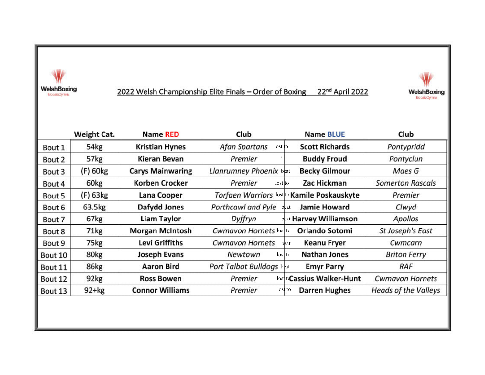

2022 Welsh Championship Elite Finals - Order of Boxing 22<sup>nd</sup> April 2022



|         | Weight Cat.      | <b>Name RED</b>         | Club                           | <b>Name BLUE</b>                            | Club                        |
|---------|------------------|-------------------------|--------------------------------|---------------------------------------------|-----------------------------|
| Bout 1  | 54kg             | <b>Kristian Hynes</b>   | Afan Spartans<br>lost to       | <b>Scott Richards</b>                       | Pontypridd                  |
| Bout 2  | 57kg             | Kieran Bevan            | Premier                        | <b>Buddy Froud</b>                          | Pontyclun                   |
| Bout 3  | $(F)$ 60 $kg$    | <b>Carys Mainwaring</b> | Llanrumney Phoenix beat        | <b>Becky Gilmour</b>                        | Maes G                      |
| Bout 4  | 60 <sub>kg</sub> | <b>Korben Crocker</b>   | Premier<br>lost to             | Zac Hickman                                 | <b>Somerton Rascals</b>     |
| Bout 5  | (F) 63kg         | Lana Cooper             |                                | Torfaen Warriors lost to Kamile Poskauskyte | Premier                     |
| Bout 6  | 63.5kg           | Dafydd Jones            | Porthcawl and Pyle             | <b>Jamie Howard</b><br>beat                 | Clwyd                       |
| Bout 7  | 67kg             | Liam Taylor             | Dyffryn                        | beat Harvey Williamson                      | Apollos                     |
| Bout 8  | 71kg             | <b>Morgan McIntosh</b>  | <b>Cwmavon Hornets lost to</b> | Orlando Sotomi                              | St Joseph's East            |
| Bout 9  | 75kg             | Levi Griffiths          | <b>Cwmavon Hornets</b>         | Keanu Fryer<br>beat                         | Cwmcarn                     |
| Bout 10 | 80 <sub>kg</sub> | <b>Joseph Evans</b>     | Newtown<br>lost to             | <b>Nathan Jones</b>                         | <b>Briton Ferry</b>         |
| Bout 11 | 86kg             | <b>Aaron Bird</b>       | Port Talbot Bulldogs beat      | <b>Emyr Parry</b>                           | <b>RAF</b>                  |
| Bout 12 | 92kg             | <b>Ross Bowen</b>       | Premier                        | lost to Cassius Walker-Hunt                 | <b>Cwmavon Hornets</b>      |
| Bout 13 | $92+kg$          | <b>Connor Williams</b>  | Premier<br>lost to             | <b>Darren Hughes</b>                        | <b>Heads of the Valleys</b> |
|         |                  |                         |                                |                                             |                             |